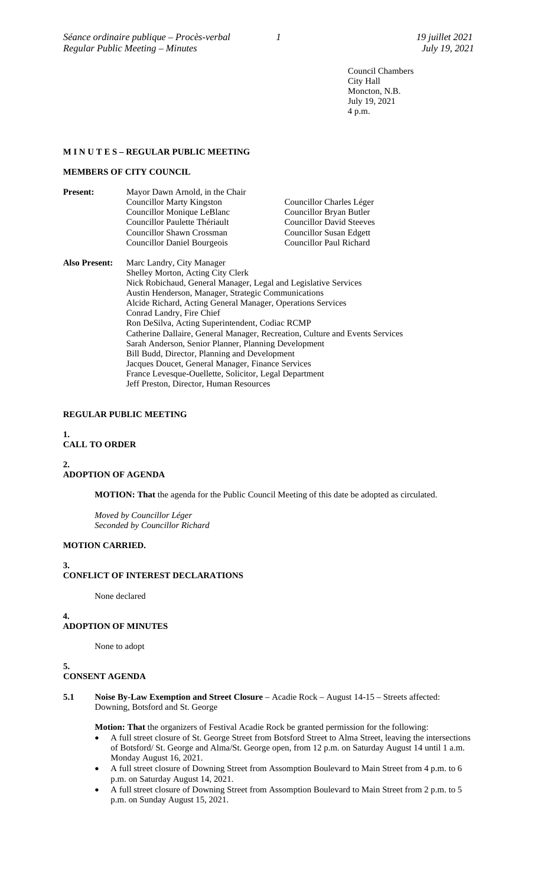Council Chambers City Hall Moncton, N.B. July 19, 2021 4 p.m.

# **M I N U T E S – REGULAR PUBLIC MEETING**

## **MEMBERS OF CITY COUNCIL**

| <b>Present:</b>      | Mayor Dawn Arnold, in the Chair                                          |                                 |
|----------------------|--------------------------------------------------------------------------|---------------------------------|
|                      | <b>Councillor Marty Kingston</b>                                         | Councillor Charles Léger        |
|                      | Councillor Monique LeBlanc                                               | Councillor Bryan Butler         |
|                      | Councillor Paulette Thériault                                            | <b>Councillor David Steeves</b> |
|                      | Councillor Shawn Crossman                                                | <b>Councillor Susan Edgett</b>  |
|                      | <b>Councillor Daniel Bourgeois</b>                                       | Councillor Paul Richard         |
| <b>Also Present:</b> | Marc Landry, City Manager                                                |                                 |
|                      | Shelley Morton, Acting City Clerk                                        |                                 |
|                      | Nick Robichaud, General Manager, Legal and Legislative Services          |                                 |
|                      | Austin Henderson, Manager, Strategic Communications                      |                                 |
|                      | Alcide Richard, Acting General Manager, Operations Services              |                                 |
|                      | Conrad Landry, Fire Chief                                                |                                 |
|                      | Ron DeSilva, Acting Superintendent, Codiac RCMP                          |                                 |
|                      | Catherine Dallaire, General Manager, Recreation, Culture and Events Serv |                                 |

Catherine Dallaire, General Manager, Recreation, Culture and Events Services Sarah Anderson, Senior Planner, Planning Development Bill Budd, Director, Planning and Development Jacques Doucet, General Manager, Finance Services France Levesque-Ouellette, Solicitor, Legal Department Jeff Preston, Director, Human Resources

# **REGULAR PUBLIC MEETING**

# **1. CALL TO ORDER**

# **2. ADOPTION OF AGENDA**

**MOTION: That** the agenda for the Public Council Meeting of this date be adopted as circulated.

*Moved by Councillor Léger Seconded by Councillor Richard*

### **MOTION CARRIED.**

**3. CONFLICT OF INTEREST DECLARATIONS**

None declared

# **4.**

**ADOPTION OF MINUTES**

None to adopt

#### **5. CONSENT AGENDA**

**5.1 Noise By-Law Exemption and Street Closure** – Acadie Rock – August 14-15 – Streets affected: Downing, Botsford and St. George

**Motion: That** the organizers of Festival Acadie Rock be granted permission for the following:

- A full street closure of St. George Street from Botsford Street to Alma Street, leaving the intersections of Botsford/ St. George and Alma/St. George open, from 12 p.m. on Saturday August 14 until 1 a.m. Monday August 16, 2021.
- A full street closure of Downing Street from Assomption Boulevard to Main Street from 4 p.m. to 6 p.m. on Saturday August 14, 2021.
- A full street closure of Downing Street from Assomption Boulevard to Main Street from 2 p.m. to 5 p.m. on Sunday August 15, 2021.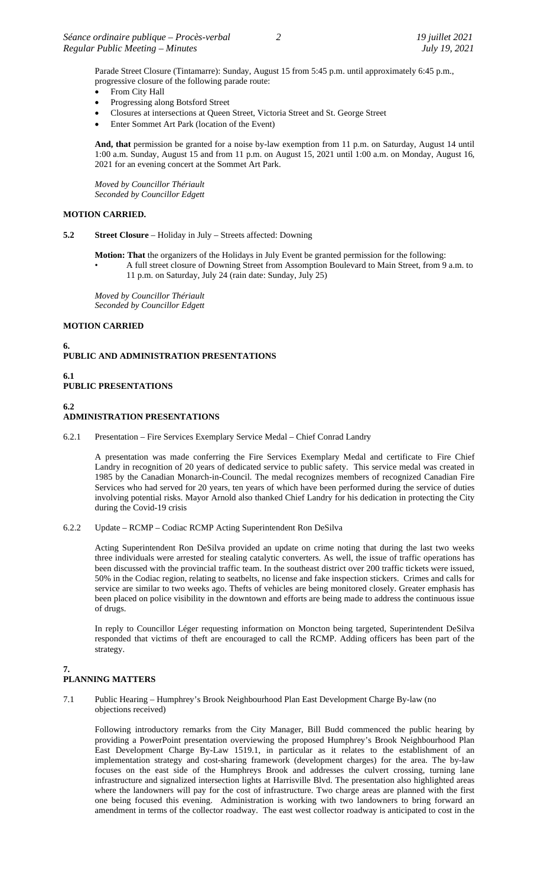Parade Street Closure (Tintamarre): Sunday, August 15 from 5:45 p.m. until approximately 6:45 p.m., progressive closure of the following parade route:

- From City Hall
- Progressing along Botsford Street
- Closures at intersections at Queen Street, Victoria Street and St. George Street
- Enter Sommet Art Park (location of the Event)

**And, that** permission be granted for a noise by-law exemption from 11 p.m. on Saturday, August 14 until 1:00 a.m. Sunday, August 15 and from 11 p.m. on August 15, 2021 until 1:00 a.m. on Monday, August 16, 2021 for an evening concert at the Sommet Art Park.

*Moved by Councillor Thériault Seconded by Councillor Edgett*

## **MOTION CARRIED.**

- **5.2 Street Closure**  Holiday in July Streets affected: Downing
	- **Motion: That** the organizers of the Holidays in July Event be granted permission for the following: • A full street closure of Downing Street from Assomption Boulevard to Main Street, from 9 a.m. to
		- 11 p.m. on Saturday, July 24 (rain date: Sunday, July 25)

*Moved by Councillor Thériault Seconded by Councillor Edgett*

# **MOTION CARRIED**

**6. PUBLIC AND ADMINISTRATION PRESENTATIONS**

- **6.1 PUBLIC PRESENTATIONS**
- **6.2**

# **ADMINISTRATION PRESENTATIONS**

6.2.1 Presentation – Fire Services Exemplary Service Medal – Chief Conrad Landry

A presentation was made conferring the Fire Services Exemplary Medal and certificate to Fire Chief Landry in recognition of 20 years of dedicated service to public safety. This service medal was created in 1985 by the Canadian Monarch-in-Council. The medal recognizes members of recognized Canadian Fire Services who had served for 20 years, ten years of which have been performed during the service of duties involving potential risks. Mayor Arnold also thanked Chief Landry for his dedication in protecting the City during the Covid-19 crisis

6.2.2 Update – RCMP – Codiac RCMP Acting Superintendent Ron DeSilva

Acting Superintendent Ron DeSilva provided an update on crime noting that during the last two weeks three individuals were arrested for stealing catalytic converters. As well, the issue of traffic operations has been discussed with the provincial traffic team. In the southeast district over 200 traffic tickets were issued, 50% in the Codiac region, relating to seatbelts, no license and fake inspection stickers. Crimes and calls for service are similar to two weeks ago. Thefts of vehicles are being monitored closely. Greater emphasis has been placed on police visibility in the downtown and efforts are being made to address the continuous issue of drugs.

In reply to Councillor Léger requesting information on Moncton being targeted, Superintendent DeSilva responded that victims of theft are encouraged to call the RCMP. Adding officers has been part of the strategy.

#### **7. PLANNING MATTERS**

7.1 Public Hearing – Humphrey's Brook Neighbourhood Plan East Development Charge By-law (no objections received)

Following introductory remarks from the City Manager, Bill Budd commenced the public hearing by providing a PowerPoint presentation overviewing the proposed Humphrey's Brook Neighbourhood Plan East Development Charge By-Law 1519.1, in particular as it relates to the establishment of an implementation strategy and cost-sharing framework (development charges) for the area. The by-law focuses on the east side of the Humphreys Brook and addresses the culvert crossing, turning lane infrastructure and signalized intersection lights at Harrisville Blvd. The presentation also highlighted areas where the landowners will pay for the cost of infrastructure. Two charge areas are planned with the first one being focused this evening. Administration is working with two landowners to bring forward an amendment in terms of the collector roadway. The east west collector roadway is anticipated to cost in the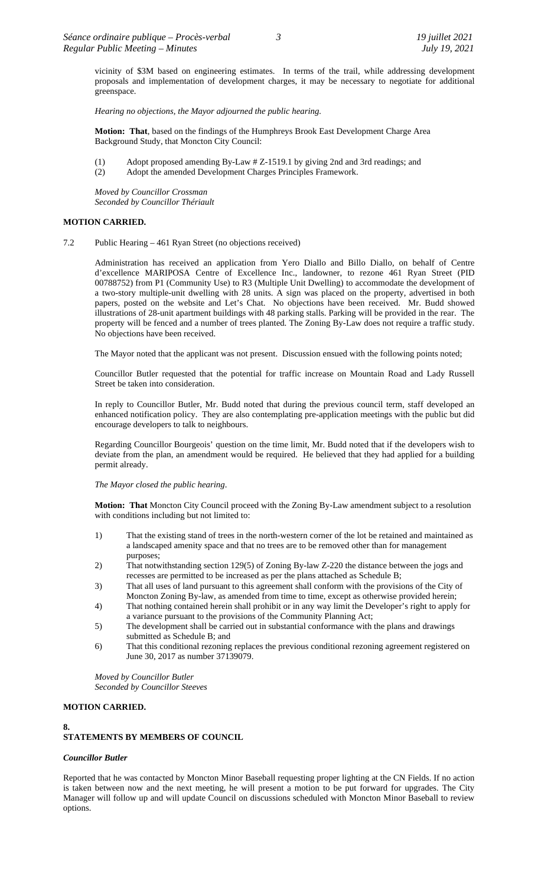vicinity of \$3M based on engineering estimates. In terms of the trail, while addressing development proposals and implementation of development charges, it may be necessary to negotiate for additional greenspace.

*Hearing no objections, the Mayor adjourned the public hearing.*

**Motion: That**, based on the findings of the Humphreys Brook East Development Charge Area Background Study, that Moncton City Council:

- (1) Adopt proposed amending By-Law # Z-1519.1 by giving 2nd and 3rd readings; and
- (2) Adopt the amended Development Charges Principles Framework.

*Moved by Councillor Crossman Seconded by Councillor Thériault*

# **MOTION CARRIED.**

7.2 Public Hearing – 461 Ryan Street (no objections received)

Administration has received an application from Yero Diallo and Billo Diallo, on behalf of Centre d'excellence MARIPOSA Centre of Excellence Inc., landowner, to rezone 461 Ryan Street (PID 00788752) from P1 (Community Use) to R3 (Multiple Unit Dwelling) to accommodate the development of a two-story multiple-unit dwelling with 28 units. A sign was placed on the property, advertised in both papers, posted on the website and Let's Chat. No objections have been received. Mr. Budd showed illustrations of 28-unit apartment buildings with 48 parking stalls. Parking will be provided in the rear. The property will be fenced and a number of trees planted. The Zoning By-Law does not require a traffic study. No objections have been received.

The Mayor noted that the applicant was not present. Discussion ensued with the following points noted;

Councillor Butler requested that the potential for traffic increase on Mountain Road and Lady Russell Street be taken into consideration.

In reply to Councillor Butler, Mr. Budd noted that during the previous council term, staff developed an enhanced notification policy. They are also contemplating pre-application meetings with the public but did encourage developers to talk to neighbours.

Regarding Councillor Bourgeois' question on the time limit, Mr. Budd noted that if the developers wish to deviate from the plan, an amendment would be required. He believed that they had applied for a building permit already.

### *The Mayor closed the public hearing*.

**Motion: That** Moncton City Council proceed with the Zoning By-Law amendment subject to a resolution with conditions including but not limited to:

- 1) That the existing stand of trees in the north-western corner of the lot be retained and maintained as a landscaped amenity space and that no trees are to be removed other than for management purposes;
- 2) That notwithstanding section 129(5) of Zoning By-law Z-220 the distance between the jogs and recesses are permitted to be increased as per the plans attached as Schedule B;
- 3) That all uses of land pursuant to this agreement shall conform with the provisions of the City of Moncton Zoning By-law, as amended from time to time, except as otherwise provided herein;
- 4) That nothing contained herein shall prohibit or in any way limit the Developer's right to apply for a variance pursuant to the provisions of the Community Planning Act;
- 5) The development shall be carried out in substantial conformance with the plans and drawings submitted as Schedule B; and
- 6) That this conditional rezoning replaces the previous conditional rezoning agreement registered on June 30, 2017 as number 37139079.

*Moved by Councillor Butler Seconded by Councillor Steeves*

### **MOTION CARRIED.**

# **8. STATEMENTS BY MEMBERS OF COUNCIL**

### *Councillor Butler*

Reported that he was contacted by Moncton Minor Baseball requesting proper lighting at the CN Fields. If no action is taken between now and the next meeting, he will present a motion to be put forward for upgrades. The City Manager will follow up and will update Council on discussions scheduled with Moncton Minor Baseball to review options.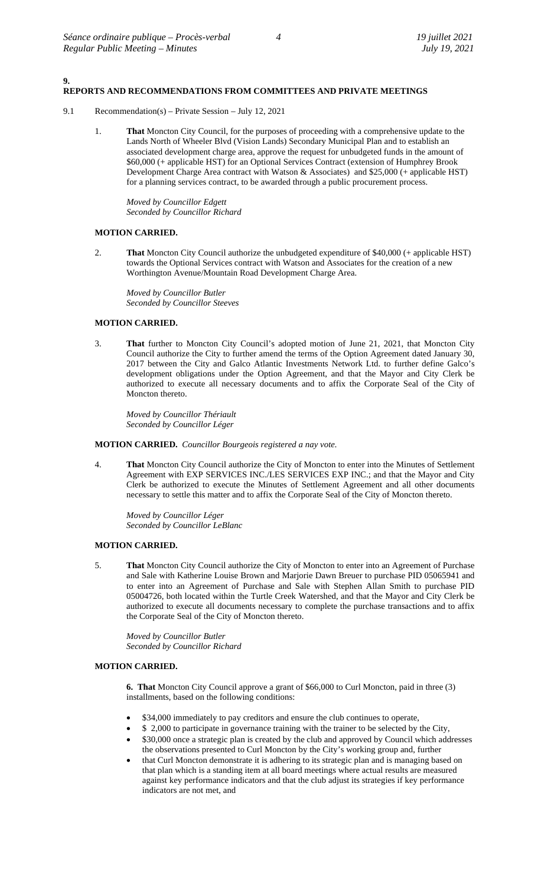**9.**

# **REPORTS AND RECOMMENDATIONS FROM COMMITTEES AND PRIVATE MEETINGS**

- 9.1 Recommendation(s) Private Session July 12, 2021
	- 1. **That** Moncton City Council, for the purposes of proceeding with a comprehensive update to the Lands North of Wheeler Blvd (Vision Lands) Secondary Municipal Plan and to establish an associated development charge area, approve the request for unbudgeted funds in the amount of \$60,000 (+ applicable HST) for an Optional Services Contract (extension of Humphrey Brook Development Charge Area contract with Watson & Associates) and \$25,000 (+ applicable HST) for a planning services contract, to be awarded through a public procurement process.

*Moved by Councillor Edgett Seconded by Councillor Richard*

#### **MOTION CARRIED.**

2. **That** Moncton City Council authorize the unbudgeted expenditure of \$40,000 (+ applicable HST) towards the Optional Services contract with Watson and Associates for the creation of a new Worthington Avenue/Mountain Road Development Charge Area.

*Moved by Councillor Butler Seconded by Councillor Steeves*

# **MOTION CARRIED.**

3. **That** further to Moncton City Council's adopted motion of June 21, 2021, that Moncton City Council authorize the City to further amend the terms of the Option Agreement dated January 30, 2017 between the City and Galco Atlantic Investments Network Ltd. to further define Galco's development obligations under the Option Agreement, and that the Mayor and City Clerk be authorized to execute all necessary documents and to affix the Corporate Seal of the City of Moncton thereto.

*Moved by Councillor Thériault Seconded by Councillor Léger*

#### **MOTION CARRIED.** *Councillor Bourgeois registered a nay vote.*

4. **That** Moncton City Council authorize the City of Moncton to enter into the Minutes of Settlement Agreement with EXP SERVICES INC./LES SERVICES EXP INC.; and that the Mayor and City Clerk be authorized to execute the Minutes of Settlement Agreement and all other documents necessary to settle this matter and to affix the Corporate Seal of the City of Moncton thereto.

*Moved by Councillor Léger Seconded by Councillor LeBlanc*

#### **MOTION CARRIED.**

5. **That** Moncton City Council authorize the City of Moncton to enter into an Agreement of Purchase and Sale with Katherine Louise Brown and Marjorie Dawn Breuer to purchase PID 05065941 and to enter into an Agreement of Purchase and Sale with Stephen Allan Smith to purchase PID 05004726, both located within the Turtle Creek Watershed, and that the Mayor and City Clerk be authorized to execute all documents necessary to complete the purchase transactions and to affix the Corporate Seal of the City of Moncton thereto.

*Moved by Councillor Butler Seconded by Councillor Richard*

### **MOTION CARRIED.**

**6. That** Moncton City Council approve a grant of \$66,000 to Curl Moncton, paid in three (3) installments, based on the following conditions:

- \$34,000 immediately to pay creditors and ensure the club continues to operate,
- \$ 2,000 to participate in governance training with the trainer to be selected by the City, • \$30,000 once a strategic plan is created by the club and approved by Council which addresses
- the observations presented to Curl Moncton by the City's working group and, further • that Curl Moncton demonstrate it is adhering to its strategic plan and is managing based on
- that plan which is a standing item at all board meetings where actual results are measured against key performance indicators and that the club adjust its strategies if key performance indicators are not met, and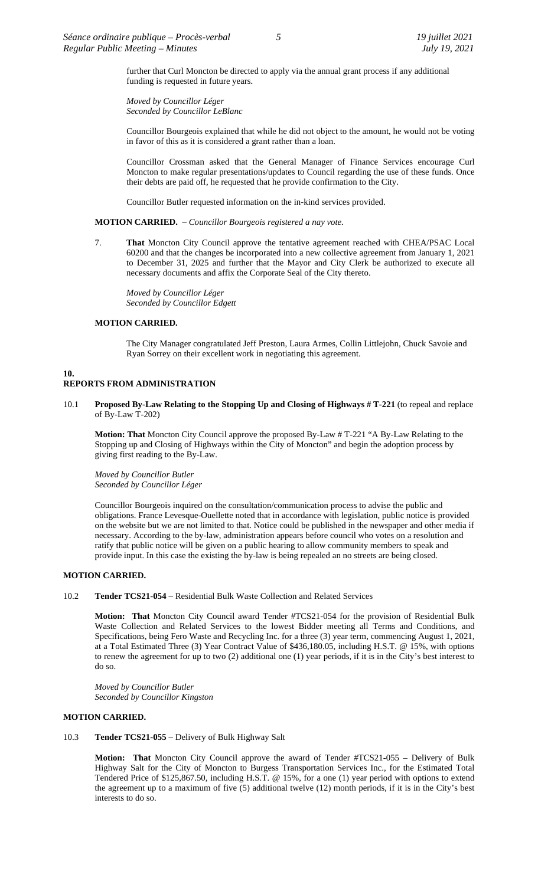further that Curl Moncton be directed to apply via the annual grant process if any additional funding is requested in future years.

*Moved by Councillor Léger Seconded by Councillor LeBlanc*

Councillor Bourgeois explained that while he did not object to the amount, he would not be voting in favor of this as it is considered a grant rather than a loan.

Councillor Crossman asked that the General Manager of Finance Services encourage Curl Moncton to make regular presentations/updates to Council regarding the use of these funds. Once their debts are paid off, he requested that he provide confirmation to the City.

Councillor Butler requested information on the in-kind services provided.

**MOTION CARRIED.** – *Councillor Bourgeois registered a nay vote.*

7. **That** Moncton City Council approve the tentative agreement reached with CHEA/PSAC Local 60200 and that the changes be incorporated into a new collective agreement from January 1, 2021 to December 31, 2025 and further that the Mayor and City Clerk be authorized to execute all necessary documents and affix the Corporate Seal of the City thereto.

*Moved by Councillor Léger Seconded by Councillor Edgett*

# **MOTION CARRIED.**

The City Manager congratulated Jeff Preston, Laura Armes, Collin Littlejohn, Chuck Savoie and Ryan Sorrey on their excellent work in negotiating this agreement.

#### **10. REPORTS FROM ADMINISTRATION**

10.1 **Proposed By-Law Relating to the Stopping Up and Closing of Highways # T-221** (to repeal and replace of By-Law T-202)

**Motion: That** Moncton City Council approve the proposed By-Law # T-221 "A By-Law Relating to the Stopping up and Closing of Highways within the City of Moncton" and begin the adoption process by giving first reading to the By-Law.

*Moved by Councillor Butler Seconded by Councillor Léger*

Councillor Bourgeois inquired on the consultation/communication process to advise the public and obligations. France Levesque-Ouellette noted that in accordance with legislation, public notice is provided on the website but we are not limited to that. Notice could be published in the newspaper and other media if necessary. According to the by-law, administration appears before council who votes on a resolution and ratify that public notice will be given on a public hearing to allow community members to speak and provide input. In this case the existing the by-law is being repealed an no streets are being closed.

# **MOTION CARRIED.**

10.2 **Tender TCS21-054** – Residential Bulk Waste Collection and Related Services

**Motion: That** Moncton City Council award Tender #TCS21-054 for the provision of Residential Bulk Waste Collection and Related Services to the lowest Bidder meeting all Terms and Conditions, and Specifications, being Fero Waste and Recycling Inc. for a three (3) year term, commencing August 1, 2021, at a Total Estimated Three (3) Year Contract Value of \$436,180.05, including H.S.T. @ 15%, with options to renew the agreement for up to two (2) additional one (1) year periods, if it is in the City's best interest to do so.

*Moved by Councillor Butler Seconded by Councillor Kingston*

### **MOTION CARRIED.**

10.3 **Tender TCS21-055** – Delivery of Bulk Highway Salt

**Motion: That** Moncton City Council approve the award of Tender #TCS21-055 – Delivery of Bulk Highway Salt for the City of Moncton to Burgess Transportation Services Inc., for the Estimated Total Tendered Price of \$125,867.50, including H.S.T. @ 15%, for a one (1) year period with options to extend the agreement up to a maximum of five (5) additional twelve (12) month periods, if it is in the City's best interests to do so.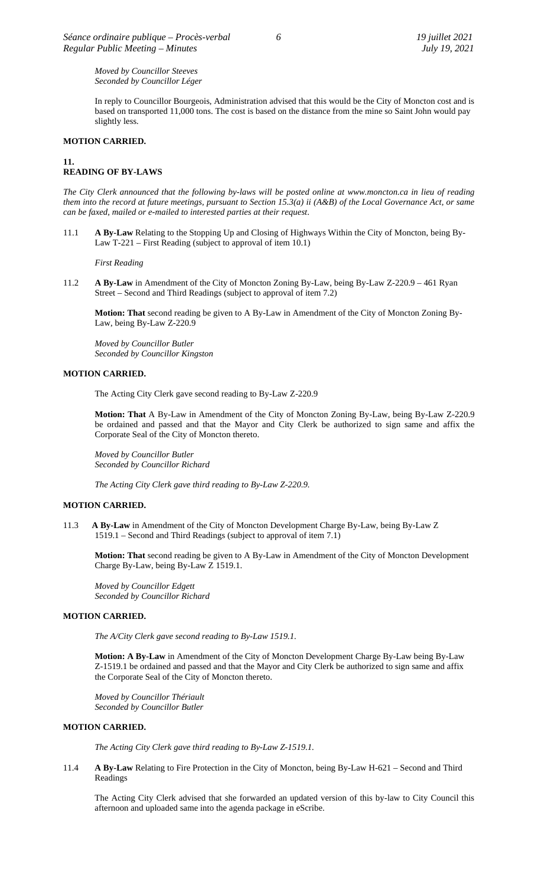# *Moved by Councillor Steeves Seconded by Councillor Léger*

In reply to Councillor Bourgeois, Administration advised that this would be the City of Moncton cost and is based on transported 11,000 tons. The cost is based on the distance from the mine so Saint John would pay slightly less.

### **MOTION CARRIED.**

# **11. READING OF BY-LAWS**

*The City Clerk announced that the following by-laws will be posted online at www.moncton.ca in lieu of reading them into the record at future meetings, pursuant to Section 15.3(a) ii (A&B) of the Local Governance Act, or same can be faxed, mailed or e-mailed to interested parties at their request*.

11.1 **A By-Law** Relating to the Stopping Up and Closing of Highways Within the City of Moncton, being By-Law T-221 – First Reading (subject to approval of item 10.1)

*First Reading*

11.2 **A By-Law** in Amendment of the City of Moncton Zoning By-Law, being By-Law Z-220.9 – 461 Ryan Street – Second and Third Readings (subject to approval of item 7.2)

**Motion: That** second reading be given to A By-Law in Amendment of the City of Moncton Zoning By-Law, being By-Law Z-220.9

*Moved by Councillor Butler Seconded by Councillor Kingston*

### **MOTION CARRIED.**

The Acting City Clerk gave second reading to By-Law Z-220.9

**Motion: That** A By-Law in Amendment of the City of Moncton Zoning By-Law, being By-Law Z-220.9 be ordained and passed and that the Mayor and City Clerk be authorized to sign same and affix the Corporate Seal of the City of Moncton thereto.

*Moved by Councillor Butler Seconded by Councillor Richard*

*The Acting City Clerk gave third reading to By-Law Z-220.9.*

### **MOTION CARRIED.**

11.3 **A By-Law** in Amendment of the City of Moncton Development Charge By-Law, being By-Law Z 1519.1 – Second and Third Readings (subject to approval of item 7.1)

**Motion: That** second reading be given to A By-Law in Amendment of the City of Moncton Development Charge By-Law, being By-Law Z 1519.1.

*Moved by Councillor Edgett Seconded by Councillor Richard*

#### **MOTION CARRIED.**

*The A/City Clerk gave second reading to By-Law 1519.1.*

**Motion: A By-Law** in Amendment of the City of Moncton Development Charge By-Law being By-Law Z-1519.1 be ordained and passed and that the Mayor and City Clerk be authorized to sign same and affix the Corporate Seal of the City of Moncton thereto.

*Moved by Councillor Thériault Seconded by Councillor Butler*

# **MOTION CARRIED.**

*The Acting City Clerk gave third reading to By-Law Z-1519.1.*

11.4 **A By-Law** Relating to Fire Protection in the City of Moncton, being By-Law H-621 – Second and Third Readings

The Acting City Clerk advised that she forwarded an updated version of this by-law to City Council this afternoon and uploaded same into the agenda package in eScribe.